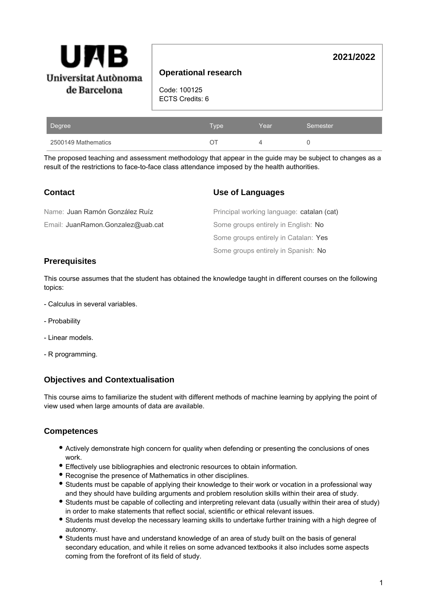

### **Operational research**

Code: 100125 ECTS Credits: 6

| Degree              | <b>Type</b> | Year | Semester |
|---------------------|-------------|------|----------|
| 2500149 Mathematics |             |      |          |

The proposed teaching and assessment methodology that appear in the guide may be subject to changes as a result of the restrictions to face-to-face class attendance imposed by the health authorities.

#### **Use of Languages** Some groups entirely in Spanish: No Some groups entirely in Catalan: Yes Some groups entirely in English: No Principal working language: catalan (cat) **Contact** Email: JuanRamon.Gonzalez@uab.cat Name: Juan Ramón González Ruíz

#### **Prerequisites**

This course assumes that the student has obtained the knowledge taught in different courses on the following topics:

- Calculus in several variables.
- Probability
- Linear models.
- R programming.

## **Objectives and Contextualisation**

This course aims to familiarize the student with different methods of machine learning by applying the point of view used when large amounts of data are available.

#### **Competences**

- Actively demonstrate high concern for quality when defending or presenting the conclusions of ones work.
- Effectively use bibliographies and electronic resources to obtain information.
- Recognise the presence of Mathematics in other disciplines.
- Students must be capable of applying their knowledge to their work or vocation in a professional way and they should have building arguments and problem resolution skills within their area of study.
- Students must be capable of collecting and interpreting relevant data (usually within their area of study) in order to make statements that reflect social, scientific or ethical relevant issues.
- Students must develop the necessary learning skills to undertake further training with a high degree of autonomy.
- Students must have and understand knowledge of an area of study built on the basis of general secondary education, and while it relies on some advanced textbooks it also includes some aspects coming from the forefront of its field of study.

**2021/2022**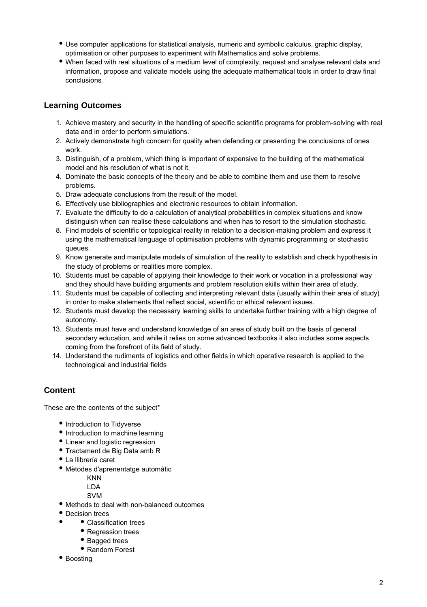- Use computer applications for statistical analysis, numeric and symbolic calculus, graphic display, optimisation or other purposes to experiment with Mathematics and solve problems.
- When faced with real situations of a medium level of complexity, request and analyse relevant data and information, propose and validate models using the adequate mathematical tools in order to draw final conclusions

## **Learning Outcomes**

- 1. Achieve mastery and security in the handling of specific scientific programs for problem-solving with real data and in order to perform simulations.
- 2. Actively demonstrate high concern for quality when defending or presenting the conclusions of ones work.
- 3. Distinguish, of a problem, which thing is important of expensive to the building of the mathematical model and his resolution of what is not it.
- 4. Dominate the basic concepts of the theory and be able to combine them and use them to resolve problems.
- 5. Draw adequate conclusions from the result of the model.
- 6. Effectively use bibliographies and electronic resources to obtain information.
- 7. Evaluate the difficulty to do a calculation of analytical probabilities in complex situations and know distinguish when can realise these calculations and when has to resort to the simulation stochastic.
- 8. Find models of scientific or topological reality in relation to a decision-making problem and express it using the mathematical language of optimisation problems with dynamic programming or stochastic queues.
- 9. Know generate and manipulate models of simulation of the reality to establish and check hypothesis in the study of problems or realities more complex.
- 10. Students must be capable of applying their knowledge to their work or vocation in a professional way and they should have building arguments and problem resolution skills within their area of study.
- 11. Students must be capable of collecting and interpreting relevant data (usually within their area of study) in order to make statements that reflect social, scientific or ethical relevant issues.
- 12. Students must develop the necessary learning skills to undertake further training with a high degree of autonomy.
- 13. Students must have and understand knowledge of an area of study built on the basis of general secondary education, and while it relies on some advanced textbooks it also includes some aspects coming from the forefront of its field of study.
- 14. Understand the rudiments of logistics and other fields in which operative research is applied to the technological and industrial fields

# **Content**

These are the contents of the subject\*

- Introduction to Tidyverse
- Introduction to machine learning
- Linear and logistic regression
- Tractament de Big Data amb R
- La llibrería caret
- Mètodes d'aprenentatge automàtic

KNN

LDA

- SVM
- Methods to deal with non-balanced outcomes
- Decision trees
	- Classification trees
		- Regression trees
		- Bagged trees
		- Random Forest
- Boosting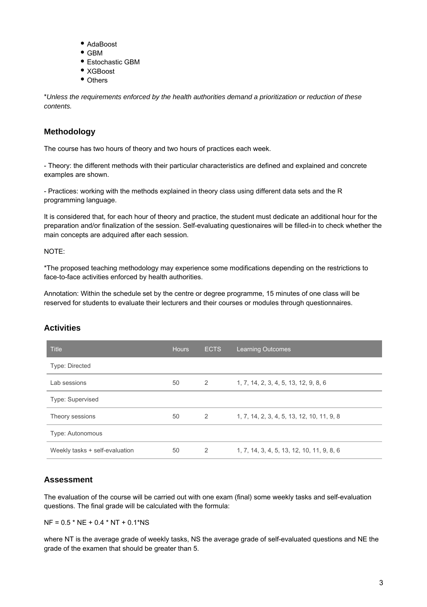- AdaBoost
- GBM
- Estochastic GBM
- XGBoost
- Others

\*Unless the requirements enforced by the health authorities demand a prioritization or reduction of these contents.

## **Methodology**

The course has two hours of theory and two hours of practices each week.

- Theory: the different methods with their particular characteristics are defined and explained and concrete examples are shown.

- Practices: working with the methods explained in theory class using different data sets and the R programming language.

It is considered that, for each hour of theory and practice, the student must dedicate an additional hour for the preparation and/or finalization of the session. Self-evaluating questionaires will be filled-in to check whether the main concepts are adquired after each session.

NOTE:

\*The proposed teaching methodology may experience some modifications depending on the restrictions to face-to-face activities enforced by health authorities.

Annotation: Within the schedule set by the centre or degree programme, 15 minutes of one class will be reserved for students to evaluate their lecturers and their courses or modules through questionnaires.

#### **Activities**

| <b>Title</b>                   | <b>Hours</b> | <b>ECTS</b> | <b>Learning Outcomes</b>                   |
|--------------------------------|--------------|-------------|--------------------------------------------|
| Type: Directed                 |              |             |                                            |
| Lab sessions                   | 50           | 2           | 1, 7, 14, 2, 3, 4, 5, 13, 12, 9, 8, 6      |
| <b>Type: Supervised</b>        |              |             |                                            |
| Theory sessions                | 50           | 2           | 1, 7, 14, 2, 3, 4, 5, 13, 12, 10, 11, 9, 8 |
| Type: Autonomous               |              |             |                                            |
| Weekly tasks + self-evaluation | 50           | 2           | 1. 7. 14. 3. 4. 5. 13. 12. 10. 11. 9. 8. 6 |

## **Assessment**

The evaluation of the course will be carried out with one exam (final) some weekly tasks and self-evaluation questions. The final grade will be calculated with the formula:

NF = 0.5 \* NE + 0.4 \* NT + 0.1\*NS

where NT is the average grade of weekly tasks, NS the average grade of self-evaluated questions and NE the grade of the examen that should be greater than 5.